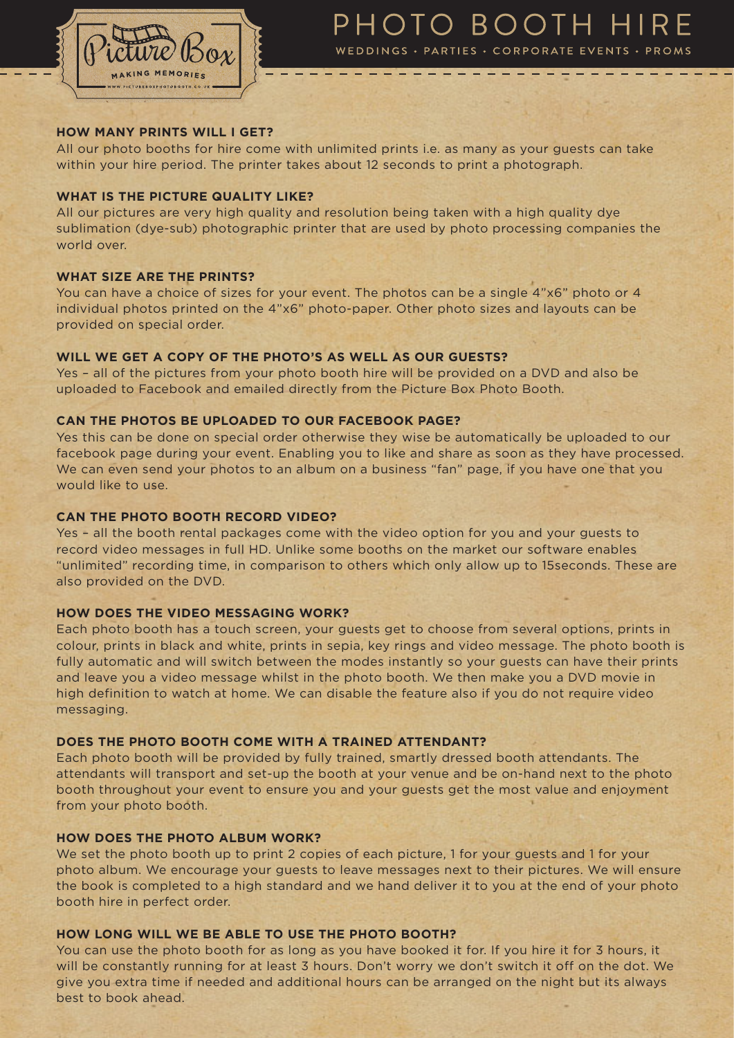

# PHOTO BOOTH HIRE

WEDDINGS · PARTIES · CORPORATE EVENTS · PROMS

## **HOW MANY PRINTS WILL I GET?**

All our photo booths for hire come with unlimited prints i.e. as many as your guests can take within your hire period. The printer takes about 12 seconds to print a photograph.

## **WHAT IS THE PICTURE QUALITY LIKE?**

All our pictures are very high quality and resolution being taken with a high quality dye sublimation (dye-sub) photographic printer that are used by photo processing companies the world over.

# **WHAT SIZE ARE THE PRINTS?**

You can have a choice of sizes for your event. The photos can be a single 4"x6" photo or 4 individual photos printed on the 4"x6" photo-paper. Other photo sizes and layouts can be provided on special order.

## **WILL WE GET A COPY OF THE PHOTO'S AS WELL AS OUR GUESTS?**

Yes – all of the pictures from your photo booth hire will be provided on a DVD and also be uploaded to Facebook and emailed directly from the Picture Box Photo Booth.

# **CAN THE PHOTOS BE UPLOADED TO OUR FACEBOOK PAGE?**

Yes this can be done on special order otherwise they wise be automatically be uploaded to our facebook page during your event. Enabling you to like and share as soon as they have processed. We can even send your photos to an album on a business "fan" page, if you have one that you would like to use.

## **CAN THE PHOTO BOOTH RECORD VIDEO?**

Yes – all the booth rental packages come with the video option for you and your guests to record video messages in full HD. Unlike some booths on the market our software enables "unlimited" recording time, in comparison to others which only allow up to 15seconds. These are also provided on the DVD.

## **HOW DOES THE VIDEO MESSAGING WORK?**

Each photo booth has a touch screen, your guests get to choose from several options, prints in colour, prints in black and white, prints in sepia, key rings and video message. The photo booth is fully automatic and will switch between the modes instantly so your guests can have their prints and leave you a video message whilst in the photo booth. We then make you a DVD movie in high definition to watch at home. We can disable the feature also if you do not require video messaging.

### **DOES THE PHOTO BOOTH COME WITH A TRAINED ATTENDANT?**

Each photo booth will be provided by fully trained, smartly dressed booth attendants. The attendants will transport and set-up the booth at your venue and be on-hand next to the photo booth throughout your event to ensure you and your guests get the most value and enjoyment from your photo booth.

### **HOW DOES THE PHOTO ALBUM WORK?**

We set the photo booth up to print 2 copies of each picture, 1 for your guests and 1 for your photo album. We encourage your guests to leave messages next to their pictures. We will ensure the book is completed to a high standard and we hand deliver it to you at the end of your photo booth hire in perfect order.

### **HOW LONG WILL WE BE ABLE TO USE THE PHOTO BOOTH?**

You can use the photo booth for as long as you have booked it for. If you hire it for 3 hours, it will be constantly running for at least 3 hours. Don't worry we don't switch it off on the dot. We give you extra time if needed and additional hours can be arranged on the night but its always best to book ahead.